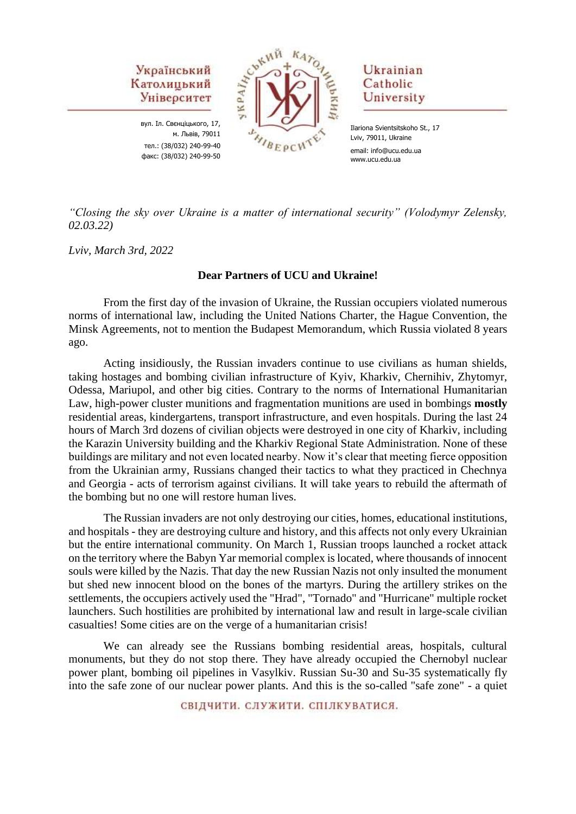

вул. Іл. Свєнціцького, 17, м. Львів, 79011 тел.: (38/032) 240-99-40 факс: (38/032) 240-99-50



Ukrainian Catholic University

Ilariona Svientsitskoho St., 17 Lviv, 79011, Ukraine email: info@ucu.edu.ua www.ucu.edu.ua

*"Closing the sky over Ukraine is a matter of international security" (Volodymyr Zelensky, 02.03.22)*

*Lviv, March 3rd, 2022*

#### **Dear Partners of UCU and Ukraine!**

From the first day of the invasion of Ukraine, the Russian occupiers violated numerous norms of international law, including the United Nations Charter, the Hague Convention, the Minsk Agreements, not to mention the Budapest Memorandum, which Russia violated 8 years ago.

Acting insidiously, the Russian invaders continue to use civilians as human shields, taking hostages and bombing civilian infrastructure of Kyiv, Kharkiv, Chernihiv, Zhytomyr, Odessa, Mariupol, and other big cities. Contrary to the norms of International Humanitarian Law, high-power cluster munitions and fragmentation munitions are used in bombings **mostly**  residential areas, kindergartens, transport infrastructure, and even hospitals. During the last 24 hours of March 3rd dozens of civilian objects were destroyed in one city of Kharkiv, including the Karazin University building and the Kharkiv Regional State Administration. None of these buildings are military and not even located nearby. Now it's clear that meeting fierce opposition from the Ukrainian army, Russians changed their tactics to what they practiced in Chechnya and Georgia - acts of terrorism against civilians. It will take years to rebuild the aftermath of the bombing but no one will restore human lives.

The Russian invaders are not only destroying our cities, homes, educational institutions, and hospitals - they are destroying culture and history, and this affects not only every Ukrainian but the entire international community. On March 1, Russian troops launched a rocket attack on the territory where the Babyn Yar memorial complex is located, where thousands of innocent souls were killed by the Nazis. That day the new Russian Nazis not only insulted the monument but shed new innocent blood on the bones of the martyrs. During the artillery strikes on the settlements, the occupiers actively used the "Hrad", "Tornado" and "Hurricane" multiple rocket launchers. Such hostilities are prohibited by international law and result in large-scale civilian casualties! Some cities are on the verge of a humanitarian crisis!

We can already see the Russians bombing residential areas, hospitals, cultural monuments, but they do not stop there. They have already occupied the Chernobyl nuclear power plant, bombing oil pipelines in Vasylkiv. Russian Su-30 and Su-35 systematically fly into the safe zone of our nuclear power plants. And this is the so-called "safe zone" - a quiet

СВІДЧИТИ, СЛУЖИТИ, СПІЛКУВАТИСЯ.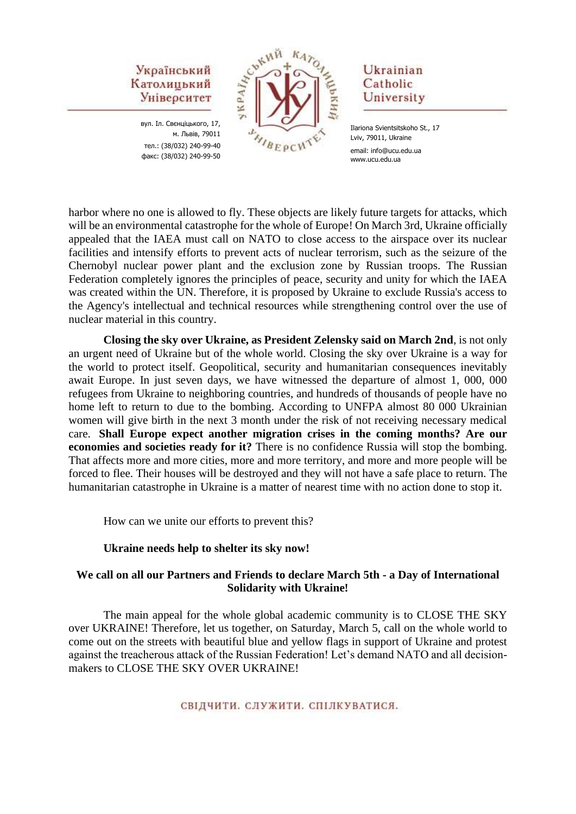## Український Католицький Університет

вул. Іл. Свєнціцького, 17, м. Львів, 79011 тел.: (38/032) 240-99-40 факс: (38/032) 240-99-50



## Ukrainian Catholic University

Ilariona Svientsitskoho St., 17 Lviv, 79011, Ukraine email: info@ucu.edu.ua www.ucu.edu.ua

harbor where no one is allowed to fly. These objects are likely future targets for attacks, which will be an environmental catastrophe for the whole of Europe! On March 3rd, Ukraine officially appealed that the IAEA must call on NATO to close access to the airspace over its nuclear facilities and intensify efforts to prevent acts of nuclear terrorism, such as the seizure of the Chernobyl nuclear power plant and the exclusion zone by Russian troops. The Russian Federation completely ignores the principles of peace, security and unity for which the IAEA was created within the UN. Therefore, it is proposed by Ukraine to exclude Russia's access to the Agency's intellectual and technical resources while strengthening control over the use of nuclear material in this country.

**Closing the sky over Ukraine, as President Zelensky said on March 2nd**, is not only an urgent need of Ukraine but of the whole world. Closing the sky over Ukraine is a way for the world to protect itself. Geopolitical, security and humanitarian consequences inevitably await Europe. In just seven days, we have witnessed the departure of almost 1, 000, 000 refugees from Ukraine to neighboring countries, and hundreds of thousands of people have no home left to return to due to the bombing. According to UNFPA almost 80 000 Ukrainian women will give birth in the next 3 month under the risk of not receiving necessary medical care. **Shall Europe expect another migration crises in the coming months? Are our economies and societies ready for it?** There is no confidence Russia will stop the bombing. That affects more and more cities, more and more territory, and more and more people will be forced to flee. Their houses will be destroyed and they will not have a safe place to return. The humanitarian catastrophe in Ukraine is a matter of nearest time with no action done to stop it.

How can we unite our efforts to prevent this?

### **Ukraine needs help to shelter its sky now!**

### **We call on all our Partners and Friends to declare March 5th - a Day of International Solidarity with Ukraine!**

The main appeal for the whole global academic community is to CLOSE THE SKY over UKRAINE! Therefore, let us together, on Saturday, March 5, call on the whole world to come out on the streets with beautiful blue and yellow flags in support of Ukraine and protest against the treacherous attack of the Russian Federation! Let's demand NATO and all decisionmakers to CLOSE THE SKY OVER UKRAINE!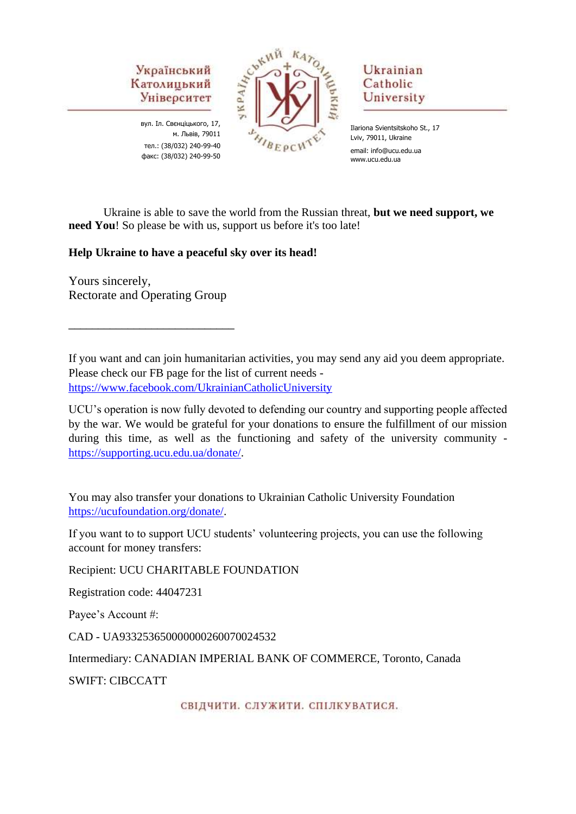

вул. Іл. Свєнціцького, 17, м. Львів, 79011 тел.: (38/032) 240-99-40 факс: (38/032) 240-99-50



# Ukrainian Catholic University

Ilariona Svientsitskoho St., 17 Lviv, 79011, Ukraine email: info@ucu.edu.ua www.ucu.edu.ua

Ukraine is able to save the world from the Russian threat, **but we need support, we need You**! So please be with us, support us before it's too late!

**Help Ukraine to have a peaceful sky over its head!**

Yours sincerely, Rectorate and Operating Group

\_\_\_\_\_\_\_\_\_\_\_\_\_\_\_\_\_\_\_\_\_\_\_\_\_\_\_\_

If you want and can join humanitarian activities, you may send any aid you deem appropriate. Please check our FB page for the list of current needs <https://www.facebook.com/UkrainianCatholicUniversity>

UCU's operation is now fully devoted to defending our country and supporting people affected by the war. We would be grateful for your donations to ensure the fulfillment of our mission during this time, as well as the functioning and safety of the university community [https://supporting.ucu.edu.ua/donate/.](https://supporting.ucu.edu.ua/donate/)

You may also transfer your donations to Ukrainian Catholic University Foundation [https://ucufoundation.org/donate/.](https://ucufoundation.org/donate/)

If you want to to support UCU students' volunteering projects, you can use the following account for money transfers:

Recipient: UCU CHARITABLE FOUNDATION

Registration code: 44047231

Payee's Account #:

CAD - UA933253650000000260070024532

Intermediary: CANADIAN IMPERIAL BANK OF COMMERCE, Toronto, Canada

SWIFT: CIBCCATT

СВІДЧИТИ. СЛУЖИТИ. СПІЛКУВАТИСЯ.